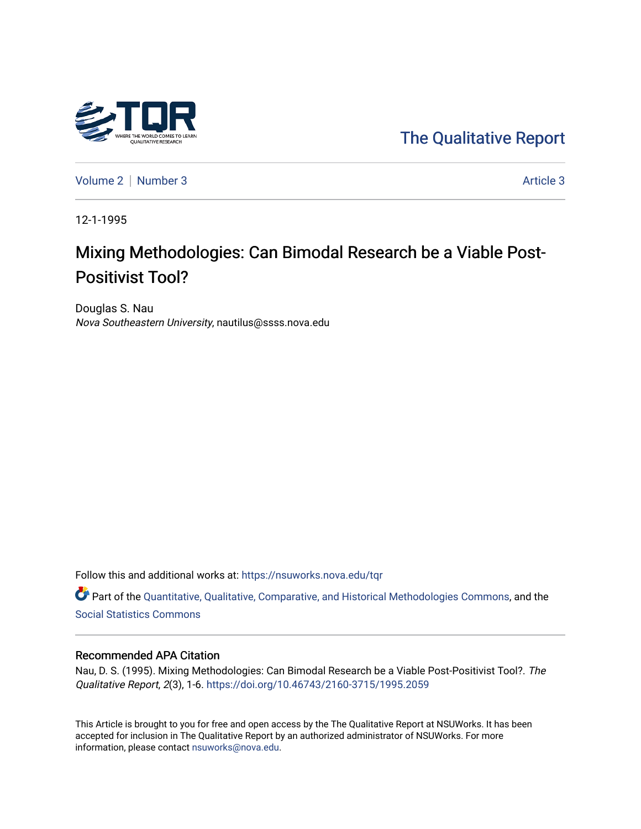

[The Qualitative Report](https://nsuworks.nova.edu/tqr) 

[Volume 2](https://nsuworks.nova.edu/tqr/vol2) | [Number 3](https://nsuworks.nova.edu/tqr/vol2/iss3) Article 3

12-1-1995

# Mixing Methodologies: Can Bimodal Research be a Viable Post-Positivist Tool?

Douglas S. Nau Nova Southeastern University, nautilus@ssss.nova.edu

Follow this and additional works at: [https://nsuworks.nova.edu/tqr](https://nsuworks.nova.edu/tqr?utm_source=nsuworks.nova.edu%2Ftqr%2Fvol2%2Fiss3%2F3&utm_medium=PDF&utm_campaign=PDFCoverPages) 

Part of the [Quantitative, Qualitative, Comparative, and Historical Methodologies Commons,](http://network.bepress.com/hgg/discipline/423?utm_source=nsuworks.nova.edu%2Ftqr%2Fvol2%2Fiss3%2F3&utm_medium=PDF&utm_campaign=PDFCoverPages) and the [Social Statistics Commons](http://network.bepress.com/hgg/discipline/1275?utm_source=nsuworks.nova.edu%2Ftqr%2Fvol2%2Fiss3%2F3&utm_medium=PDF&utm_campaign=PDFCoverPages) 

#### Recommended APA Citation

Nau, D. S. (1995). Mixing Methodologies: Can Bimodal Research be a Viable Post-Positivist Tool?. The Qualitative Report, 2(3), 1-6.<https://doi.org/10.46743/2160-3715/1995.2059>

This Article is brought to you for free and open access by the The Qualitative Report at NSUWorks. It has been accepted for inclusion in The Qualitative Report by an authorized administrator of NSUWorks. For more information, please contact [nsuworks@nova.edu.](mailto:nsuworks@nova.edu)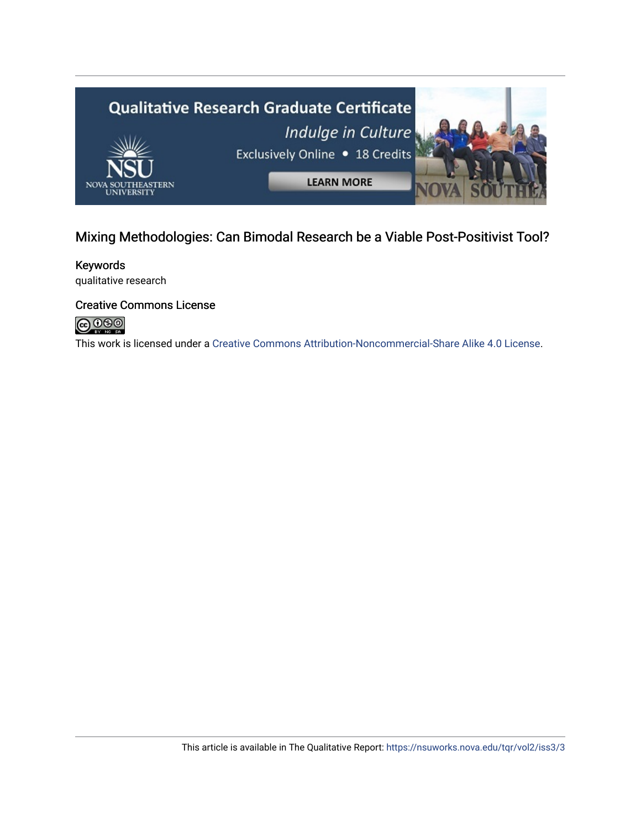

# Mixing Methodologies: Can Bimodal Research be a Viable Post-Positivist Tool?

Keywords qualitative research

## Creative Commons License



This work is licensed under a [Creative Commons Attribution-Noncommercial-Share Alike 4.0 License](https://creativecommons.org/licenses/by-nc-sa/4.0/).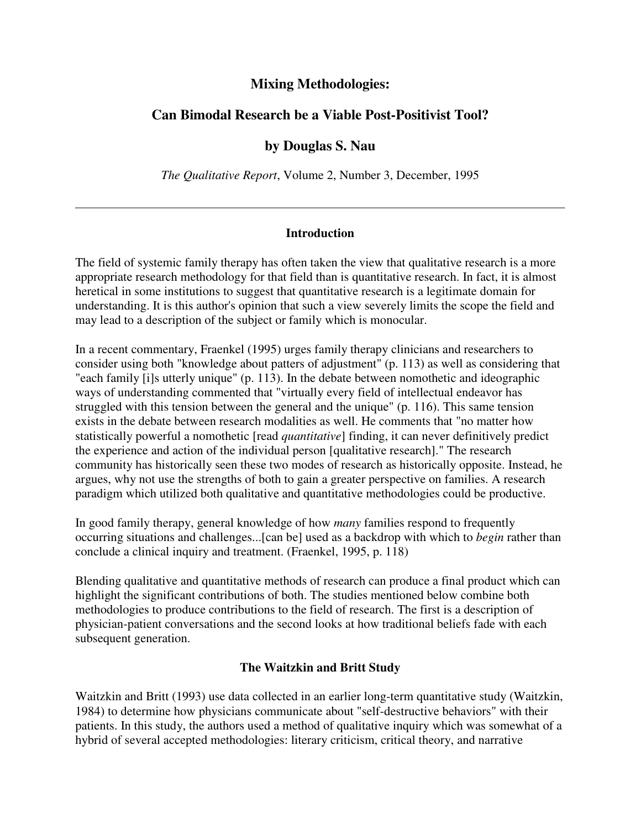# **Mixing Methodologies:**

# **Can Bimodal Research be a Viable Post-Positivist Tool?**

# **by Douglas S. Nau**

*The Qualitative Report*, Volume 2, Number 3, December, 1995

#### **Introduction**

The field of systemic family therapy has often taken the view that qualitative research is a more appropriate research methodology for that field than is quantitative research. In fact, it is almost heretical in some institutions to suggest that quantitative research is a legitimate domain for understanding. It is this author's opinion that such a view severely limits the scope the field and may lead to a description of the subject or family which is monocular.

In a recent commentary, Fraenkel (1995) urges family therapy clinicians and researchers to consider using both "knowledge about patters of adjustment" (p. 113) as well as considering that "each family [i]s utterly unique" (p. 113). In the debate between nomothetic and ideographic ways of understanding commented that "virtually every field of intellectual endeavor has struggled with this tension between the general and the unique" (p. 116). This same tension exists in the debate between research modalities as well. He comments that "no matter how statistically powerful a nomothetic [read *quantitative*] finding, it can never definitively predict the experience and action of the individual person [qualitative research]." The research community has historically seen these two modes of research as historically opposite. Instead, he argues, why not use the strengths of both to gain a greater perspective on families. A research paradigm which utilized both qualitative and quantitative methodologies could be productive.

In good family therapy, general knowledge of how *many* families respond to frequently occurring situations and challenges...[can be] used as a backdrop with which to *begin* rather than conclude a clinical inquiry and treatment. (Fraenkel, 1995, p. 118)

Blending qualitative and quantitative methods of research can produce a final product which can highlight the significant contributions of both. The studies mentioned below combine both methodologies to produce contributions to the field of research. The first is a description of physician-patient conversations and the second looks at how traditional beliefs fade with each subsequent generation.

#### **The Waitzkin and Britt Study**

Waitzkin and Britt (1993) use data collected in an earlier long-term quantitative study (Waitzkin, 1984) to determine how physicians communicate about "self-destructive behaviors" with their patients. In this study, the authors used a method of qualitative inquiry which was somewhat of a hybrid of several accepted methodologies: literary criticism, critical theory, and narrative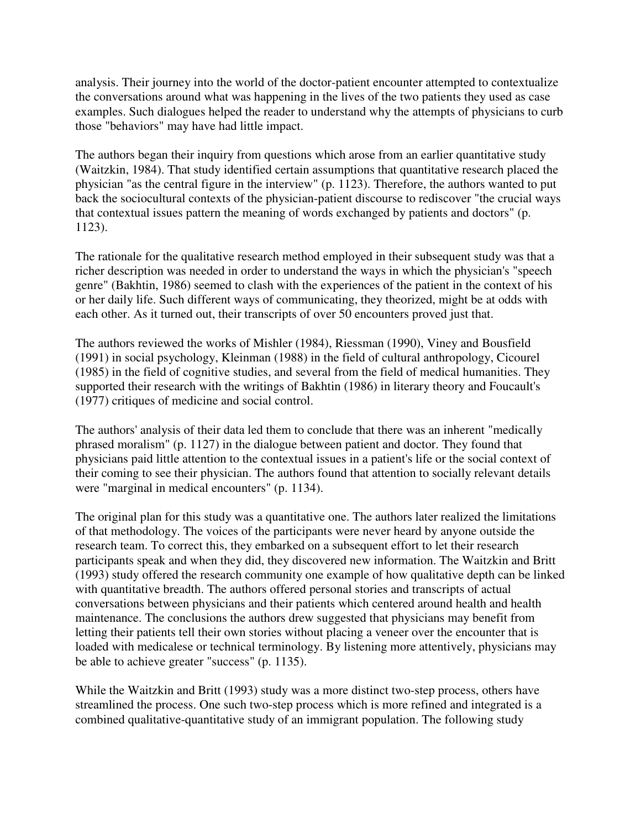analysis. Their journey into the world of the doctor-patient encounter attempted to contextualize the conversations around what was happening in the lives of the two patients they used as case examples. Such dialogues helped the reader to understand why the attempts of physicians to curb those "behaviors" may have had little impact.

The authors began their inquiry from questions which arose from an earlier quantitative study (Waitzkin, 1984). That study identified certain assumptions that quantitative research placed the physician "as the central figure in the interview" (p. 1123). Therefore, the authors wanted to put back the sociocultural contexts of the physician-patient discourse to rediscover "the crucial ways that contextual issues pattern the meaning of words exchanged by patients and doctors" (p. 1123).

The rationale for the qualitative research method employed in their subsequent study was that a richer description was needed in order to understand the ways in which the physician's "speech genre" (Bakhtin, 1986) seemed to clash with the experiences of the patient in the context of his or her daily life. Such different ways of communicating, they theorized, might be at odds with each other. As it turned out, their transcripts of over 50 encounters proved just that.

The authors reviewed the works of Mishler (1984), Riessman (1990), Viney and Bousfield (1991) in social psychology, Kleinman (1988) in the field of cultural anthropology, Cicourel (1985) in the field of cognitive studies, and several from the field of medical humanities. They supported their research with the writings of Bakhtin (1986) in literary theory and Foucault's (1977) critiques of medicine and social control.

The authors' analysis of their data led them to conclude that there was an inherent "medically phrased moralism" (p. 1127) in the dialogue between patient and doctor. They found that physicians paid little attention to the contextual issues in a patient's life or the social context of their coming to see their physician. The authors found that attention to socially relevant details were "marginal in medical encounters" (p. 1134).

The original plan for this study was a quantitative one. The authors later realized the limitations of that methodology. The voices of the participants were never heard by anyone outside the research team. To correct this, they embarked on a subsequent effort to let their research participants speak and when they did, they discovered new information. The Waitzkin and Britt (1993) study offered the research community one example of how qualitative depth can be linked with quantitative breadth. The authors offered personal stories and transcripts of actual conversations between physicians and their patients which centered around health and health maintenance. The conclusions the authors drew suggested that physicians may benefit from letting their patients tell their own stories without placing a veneer over the encounter that is loaded with medicalese or technical terminology. By listening more attentively, physicians may be able to achieve greater "success" (p. 1135).

While the Waitzkin and Britt (1993) study was a more distinct two-step process, others have streamlined the process. One such two-step process which is more refined and integrated is a combined qualitative-quantitative study of an immigrant population. The following study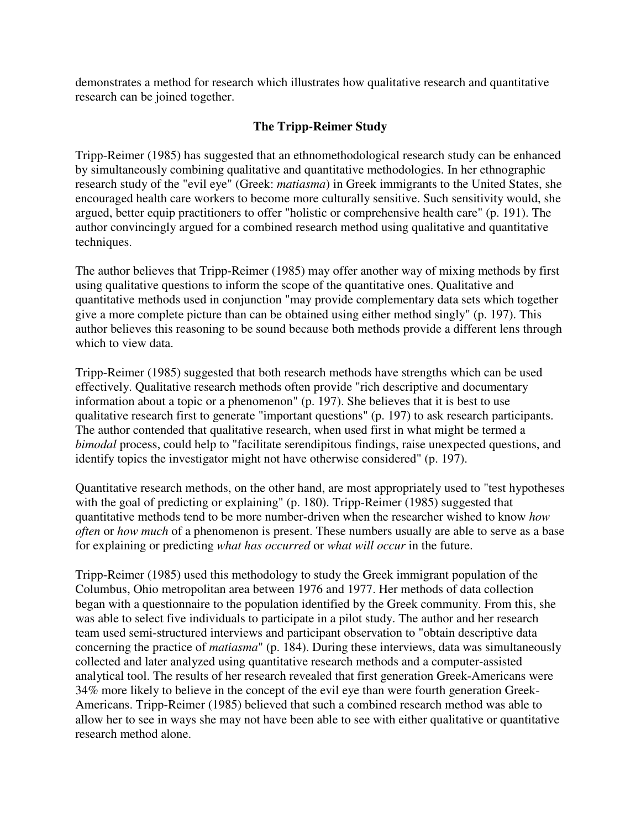demonstrates a method for research which illustrates how qualitative research and quantitative research can be joined together.

## **The Tripp-Reimer Study**

Tripp-Reimer (1985) has suggested that an ethnomethodological research study can be enhanced by simultaneously combining qualitative and quantitative methodologies. In her ethnographic research study of the "evil eye" (Greek: *matiasma*) in Greek immigrants to the United States, she encouraged health care workers to become more culturally sensitive. Such sensitivity would, she argued, better equip practitioners to offer "holistic or comprehensive health care" (p. 191). The author convincingly argued for a combined research method using qualitative and quantitative techniques.

The author believes that Tripp-Reimer (1985) may offer another way of mixing methods by first using qualitative questions to inform the scope of the quantitative ones. Qualitative and quantitative methods used in conjunction "may provide complementary data sets which together give a more complete picture than can be obtained using either method singly" (p. 197). This author believes this reasoning to be sound because both methods provide a different lens through which to view data.

Tripp-Reimer (1985) suggested that both research methods have strengths which can be used effectively. Qualitative research methods often provide "rich descriptive and documentary information about a topic or a phenomenon" (p. 197). She believes that it is best to use qualitative research first to generate "important questions" (p. 197) to ask research participants. The author contended that qualitative research, when used first in what might be termed a *bimodal* process, could help to "facilitate serendipitous findings, raise unexpected questions, and identify topics the investigator might not have otherwise considered" (p. 197).

Quantitative research methods, on the other hand, are most appropriately used to "test hypotheses with the goal of predicting or explaining" (p. 180). Tripp-Reimer (1985) suggested that quantitative methods tend to be more number-driven when the researcher wished to know *how often* or *how much* of a phenomenon is present. These numbers usually are able to serve as a base for explaining or predicting *what has occurred* or *what will occur* in the future.

Tripp-Reimer (1985) used this methodology to study the Greek immigrant population of the Columbus, Ohio metropolitan area between 1976 and 1977. Her methods of data collection began with a questionnaire to the population identified by the Greek community. From this, she was able to select five individuals to participate in a pilot study. The author and her research team used semi-structured interviews and participant observation to "obtain descriptive data concerning the practice of *matiasma*" (p. 184). During these interviews, data was simultaneously collected and later analyzed using quantitative research methods and a computer-assisted analytical tool. The results of her research revealed that first generation Greek-Americans were 34% more likely to believe in the concept of the evil eye than were fourth generation Greek-Americans. Tripp-Reimer (1985) believed that such a combined research method was able to allow her to see in ways she may not have been able to see with either qualitative or quantitative research method alone.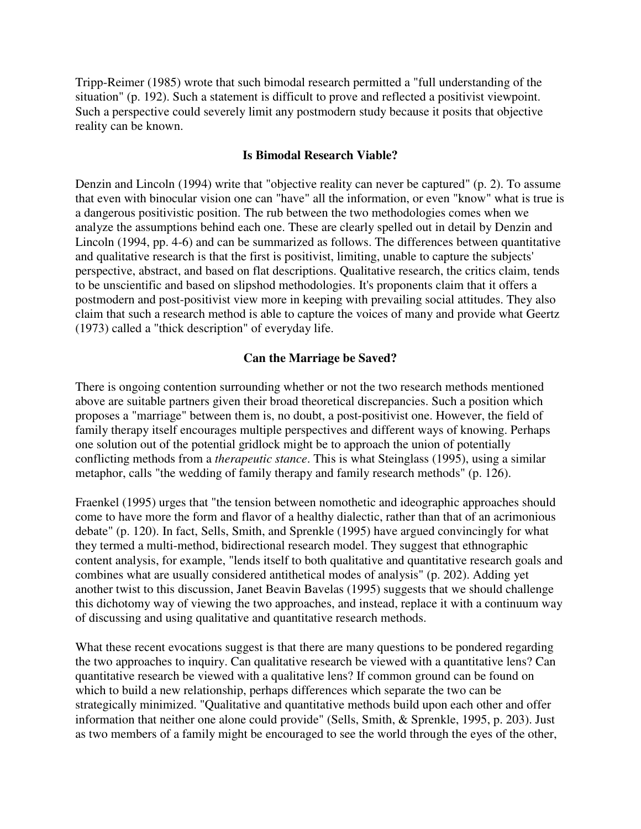Tripp-Reimer (1985) wrote that such bimodal research permitted a "full understanding of the situation" (p. 192). Such a statement is difficult to prove and reflected a positivist viewpoint. Such a perspective could severely limit any postmodern study because it posits that objective reality can be known.

#### **Is Bimodal Research Viable?**

Denzin and Lincoln (1994) write that "objective reality can never be captured" (p. 2). To assume that even with binocular vision one can "have" all the information, or even "know" what is true is a dangerous positivistic position. The rub between the two methodologies comes when we analyze the assumptions behind each one. These are clearly spelled out in detail by Denzin and Lincoln (1994, pp. 4-6) and can be summarized as follows. The differences between quantitative and qualitative research is that the first is positivist, limiting, unable to capture the subjects' perspective, abstract, and based on flat descriptions. Qualitative research, the critics claim, tends to be unscientific and based on slipshod methodologies. It's proponents claim that it offers a postmodern and post-positivist view more in keeping with prevailing social attitudes. They also claim that such a research method is able to capture the voices of many and provide what Geertz (1973) called a "thick description" of everyday life.

#### **Can the Marriage be Saved?**

There is ongoing contention surrounding whether or not the two research methods mentioned above are suitable partners given their broad theoretical discrepancies. Such a position which proposes a "marriage" between them is, no doubt, a post-positivist one. However, the field of family therapy itself encourages multiple perspectives and different ways of knowing. Perhaps one solution out of the potential gridlock might be to approach the union of potentially conflicting methods from a *therapeutic stance*. This is what Steinglass (1995), using a similar metaphor, calls "the wedding of family therapy and family research methods" (p. 126).

Fraenkel (1995) urges that "the tension between nomothetic and ideographic approaches should come to have more the form and flavor of a healthy dialectic, rather than that of an acrimonious debate" (p. 120). In fact, Sells, Smith, and Sprenkle (1995) have argued convincingly for what they termed a multi-method, bidirectional research model. They suggest that ethnographic content analysis, for example, "lends itself to both qualitative and quantitative research goals and combines what are usually considered antithetical modes of analysis" (p. 202). Adding yet another twist to this discussion, Janet Beavin Bavelas (1995) suggests that we should challenge this dichotomy way of viewing the two approaches, and instead, replace it with a continuum way of discussing and using qualitative and quantitative research methods.

What these recent evocations suggest is that there are many questions to be pondered regarding the two approaches to inquiry. Can qualitative research be viewed with a quantitative lens? Can quantitative research be viewed with a qualitative lens? If common ground can be found on which to build a new relationship, perhaps differences which separate the two can be strategically minimized. "Qualitative and quantitative methods build upon each other and offer information that neither one alone could provide" (Sells, Smith, & Sprenkle, 1995, p. 203). Just as two members of a family might be encouraged to see the world through the eyes of the other,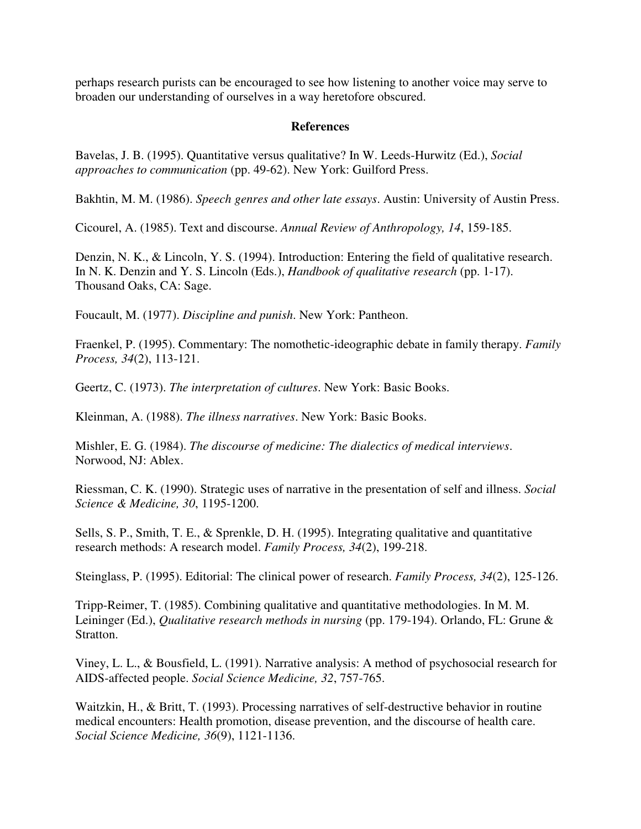perhaps research purists can be encouraged to see how listening to another voice may serve to broaden our understanding of ourselves in a way heretofore obscured.

#### **References**

Bavelas, J. B. (1995). Quantitative versus qualitative? In W. Leeds-Hurwitz (Ed.), *Social approaches to communication* (pp. 49-62). New York: Guilford Press.

Bakhtin, M. M. (1986). *Speech genres and other late essays*. Austin: University of Austin Press.

Cicourel, A. (1985). Text and discourse. *Annual Review of Anthropology, 14*, 159-185.

Denzin, N. K., & Lincoln, Y. S. (1994). Introduction: Entering the field of qualitative research. In N. K. Denzin and Y. S. Lincoln (Eds.), *Handbook of qualitative research* (pp. 1-17). Thousand Oaks, CA: Sage.

Foucault, M. (1977). *Discipline and punish*. New York: Pantheon.

Fraenkel, P. (1995). Commentary: The nomothetic-ideographic debate in family therapy. *Family Process, 34*(2), 113-121.

Geertz, C. (1973). *The interpretation of cultures*. New York: Basic Books.

Kleinman, A. (1988). *The illness narratives*. New York: Basic Books.

Mishler, E. G. (1984). *The discourse of medicine: The dialectics of medical interviews*. Norwood, NJ: Ablex.

Riessman, C. K. (1990). Strategic uses of narrative in the presentation of self and illness. *Social Science & Medicine, 30*, 1195-1200.

Sells, S. P., Smith, T. E., & Sprenkle, D. H. (1995). Integrating qualitative and quantitative research methods: A research model. *Family Process, 34*(2), 199-218.

Steinglass, P. (1995). Editorial: The clinical power of research. *Family Process, 34*(2), 125-126.

Tripp-Reimer, T. (1985). Combining qualitative and quantitative methodologies. In M. M. Leininger (Ed.), *Qualitative research methods in nursing* (pp. 179-194). Orlando, FL: Grune & Stratton.

Viney, L. L., & Bousfield, L. (1991). Narrative analysis: A method of psychosocial research for AIDS-affected people. *Social Science Medicine, 32*, 757-765.

Waitzkin, H., & Britt, T. (1993). Processing narratives of self-destructive behavior in routine medical encounters: Health promotion, disease prevention, and the discourse of health care. *Social Science Medicine, 36*(9), 1121-1136.